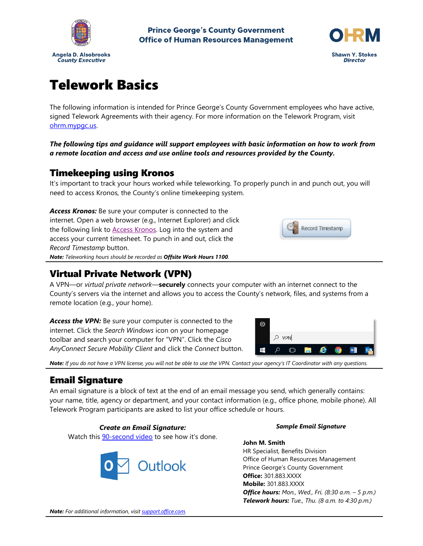

**Prince George's County Government Office of Human Resources Management** 



# Telework Basics

The following information is intended for Prince George's County Government employees who have active, signed Telework Agreements with their agency. For more information on the Telework Program, visit [ohrm.mypgc.us.](http://ohrm.mypgc.us/)

*The following tips and guidance will support employees with basic information on how to work from a remote location and access and use online tools and resources provided by the County.*

### Timekeeping using Kronos

It's important to track your hours worked while teleworking. To properly punch in and punch out, you will need to access Kronos, the County's online timekeeping system.

*Access Kronos:* Be sure your computer is connected to the internet. Open a web browser (e.g., Internet Explorer) and click the following link to [Access Kronos.](https://princegeorgescountymd.kronos.net/wfc/applications/navigator/Navigator.do) Log into the system and access your current timesheet. To punch in and out, click the *Record Timestamp* button. *Note: Teleworking hours should be recorded as Offsite Work Hours 1100.*

### Virtual Private Network (VPN)

A VPN—or *virtual private network*—**securely** connects your computer with an internet connect to the County's servers via the internet and allows you to access the County's network, files, and systems from a remote location (e.g., your home).

Access the VPN: Be sure your computer is connected to the internet. Click the *Search Windows* icon on your homepage toolbar and search your computer for "VPN". Click the *Cisco AnyConnect Secure Mobility Client* and click the *Connect* button.



Record Timestamp

*Note: If you do not have a VPN license, you will not be able to use the VPN. Contact your agency's IT Coordinator with any questions.*

# Email Signature

An email signature is a block of text at the end of an email message you send, which generally contains: your name, title, agency or department, and your contact information (e.g., office phone, mobile phone). All Telework Program participants are asked to list your office schedule or hours.

#### *Create an Email Signature:*

Watch this [90-second video](https://www.microsoft.com/en-us/videoplayer/embed/RWe8Qi?pid=ocpVideo0-innerdiv-oneplayer&postJsllMsg=true&maskLevel=20&market=en-us) to see how it's done.



#### *Sample Email Signature*

**John M. Smith** HR Specialist, Benefits Division Office of Human Resources Management Prince George's County Government **Office:** 301.883.XXXX **Mobile:** 301.883.XXXX *Office hours: Mon., Wed., Fri. (8:30 a.m. – 5 p.m.) Telework hours: Tue., Thu. (8 a.m. to 4:30 p.m.)*

*Note: For additional information, visi[t support.office.com.](https://support.office.com/en-us/article/customize-dba4d238-f29f-4800-b0cb-504359469d9d?ui=en-US&rs=en-US&ad=US#id0eaabaaa=signature)*